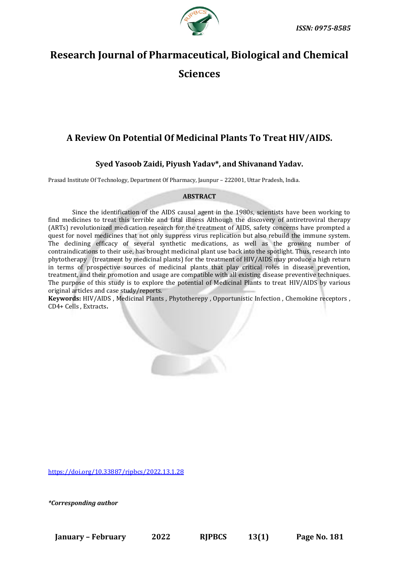

# **Research Journal of Pharmaceutical, Biological and Chemical Sciences**

## **A Review On Potential Of Medicinal Plants To Treat HIV/AIDS.**

### **Syed Yasoob Zaidi, Piyush Yadav\*, and Shivanand Yadav.**

Prasad Institute Of Technology, Department Of Pharmacy, Jaunpur – 222001, Uttar Pradesh, India.

#### **ABSTRACT**

Since the identification of the AIDS causal agent in the 1980s, scientists have been working to find medicines to treat this terrible and fatal illness Although the discovery of antiretroviral therapy (ARTs) revolutionized medication research for the treatment of AIDS, safety concerns have prompted a quest for novel medicines that not only suppress virus replication but also rebuild the immune system. The declining efficacy of several synthetic medications, as well as the growing number of contraindications to their use, has brought medicinal plant use back into the spotlight. Thus, research into phytotherapy (treatment by medicinal plants) for the treatment of HIV/AIDS may produce a high return in terms of prospective sources of medicinal plants that play critical roles in disease prevention, treatment, and their promotion and usage are compatible with all existing disease preventive techniques. The purpose of this study is to explore the potential of Medicinal Plants to treat HIV/AIDS by various original articles and case study/reports.

**Keywords:** HIV/AIDS , Medicinal Plants , Phytotherepy , Opportunistic Infection , Chemokine receptors , CD4+ Cells , Extracts**.**

<https://doi.org/10.33887/rjpbcs/2022.13.1.28>

*\*Corresponding author*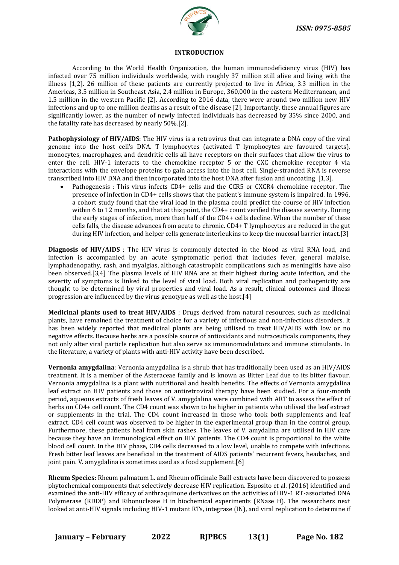

#### **INTRODUCTION**

According to the World Health Organization, the human immunodeficiency virus (HIV) has infected over 75 million individuals worldwide, with roughly 37 million still alive and living with the illness [1,2]. 26 million of these patients are currently projected to live in Africa, 3.3 million in the Americas, 3.5 million in Southeast Asia, 2.4 million in Europe, 360,000 in the eastern Mediterranean, and 1.5 million in the western Pacific [2]. According to 2016 data, there were around two million new HIV infections and up to one million deaths as a result of the disease [2]. Importantly, these annual figures are significantly lower, as the number of newly infected individuals has decreased by 35% since 2000, and the fatality rate has decreased by nearly 50%.[2].

**Pathophysiology of HIV/AIDS**: The HIV virus is a retrovirus that can integrate a DNA copy of the viral genome into the host cell's DNA. T lymphocytes (activated T lymphocytes are favoured targets), monocytes, macrophages, and dendritic cells all have receptors on their surfaces that allow the virus to enter the cell. HIV-1 interacts to the chemokine receptor 5 or the CXC chemokine receptor 4 via interactions with the envelope proteins to gain access into the host cell. Single-stranded RNA is reverse transcribed into HIV DNA and then incorporated into the host DNA after fusion and uncoating [1,3].

• Pathogenesis : This virus infects CD4+ cells and the CCR5 or CXCR4 chemokine receptor. The presence of infection in CD4+ cells shows that the patient's immune system is impaired. In 1996, a cohort study found that the viral load in the plasma could predict the course of HIV infection within 6 to 12 months, and that at this point, the CD4+ count verified the disease severity. During the early stages of infection, more than half of the CD4+ cells decline. When the number of these cells falls, the disease advances from acute to chronic. CD4+ T lymphocytes are reduced in the gut during HIV infection, and helper cells generate interleukins to keep the mucosal barrier intact.[3]

**Diagnosis of HIV/AIDS**; The HIV virus is commonly detected in the blood as viral RNA load, and infection is accompanied by an acute symptomatic period that includes fever, general malaise, lymphadenopathy, rash, and myalgias, although catastrophic complications such as meningitis have also been observed.[3,4] The plasma levels of HIV RNA are at their highest during acute infection, and the severity of symptoms is linked to the level of viral load. Both viral replication and pathogenicity are thought to be determined by viral properties and viral load. As a result, clinical outcomes and illness progression are influenced by the virus genotype as well as the host.[4]

**Medicinal plants used to treat HIV/AIDS** ; Drugs derived from natural resources, such as medicinal plants, have remained the treatment of choice for a variety of infectious and non-infectious disorders. It has been widely reported that medicinal plants are being utilised to treat HIV/AIDS with low or no negative effects. Because herbs are a possible source of antioxidants and nutraceuticals components, they not only alter viral particle replication but also serve as immunomodulators and immune stimulants. In the literature, a variety of plants with anti-HIV activity have been described.

**Vernonia amygdalina**: Vernonia amygdalina is a shrub that has traditionally been used as an HIV/AIDS treatment. It is a member of the Asteraceae family and is known as Bitter Leaf due to its bitter flavour. Vernonia amygdalina is a plant with nutritional and health benefits. The effects of Vernonia amygdalina leaf extract on HIV patients and those on antiretroviral therapy have been studied. For a four-month period, aqueous extracts of fresh leaves of V. amygdalina were combined with ART to assess the effect of herbs on CD4+ cell count. The CD4 count was shown to be higher in patients who utilised the leaf extract or supplements in the trial. The CD4 count increased in those who took both supplements and leaf extract. CD4 cell count was observed to be higher in the experimental group than in the control group. Furthermore, these patients heal from skin rashes. The leaves of V. amydalina are utilised in HIV care because they have an immunological effect on HIV patients. The CD4 count is proportional to the white blood cell count. In the HIV phase, CD4 cells decreased to a low level, unable to compete with infections. Fresh bitter leaf leaves are beneficial in the treatment of AIDS patients' recurrent fevers, headaches, and joint pain. V. amygdalina is sometimes used as a food supplement.[6]

**Rheum Species:** Rheum palmatum L. and Rheum officinale Baill extracts have been discovered to possess phytochemical components that selectively decrease HIV replication. Esposito et al. (2016) identified and examined the anti-HIV efficacy of anthraquinone derivatives on the activities of HIV-1 RT-associated DNA Polymerase (RDDP) and Ribonuclease H in biochemical experiments (RNase H). The researchers next looked at anti-HIV signals including HIV-1 mutant RTs, integrase (IN), and viral replication to determine if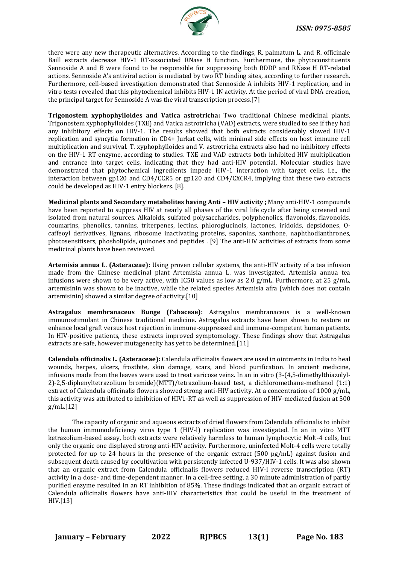

there were any new therapeutic alternatives. According to the findings, R. palmatum L. and R. officinale Baill extracts decrease HIV-1 RT-associated RNase H function. Furthermore, the phytoconstituents Sennoside A and B were found to be responsible for suppressing both RDDP and RNase H RT-related actions. Sennoside A's antiviral action is mediated by two RT binding sites, according to further research. Furthermore, cell-based investigation demonstrated that Sennoside A inhibits HIV-1 replication, and in vitro tests revealed that this phytochemical inhibits HIV-1 IN activity. At the period of viral DNA creation, the principal target for Sennoside A was the viral transcription process.[7]

**Trigonostem xyphophylloides and Vatica astrotricha:** Two traditional Chinese medicinal plants, Trigonostem xyphophylloides (TXE) and Vatica astrotricha (VAD) extracts, were studied to see if they had any inhibitory effects on HIV-1. The results showed that both extracts considerably slowed HIV-1 replication and syncytia formation in CD4+ Jurkat cells, with minimal side effects on host immune cell multiplication and survival. T. xyphophylloides and V. astrotricha extracts also had no inhibitory effects on the HIV-1 RT enzyme, according to studies. TXE and VAD extracts both inhibited HIV multiplication and entrance into target cells, indicating that they had anti-HIV potential. Molecular studies have demonstrated that phytochemical ingredients impede HIV-1 interaction with target cells, i.e., the interaction between gp120 and CD4/CCR5 or gp120 and CD4/CXCR4, implying that these two extracts could be developed as HIV-1 entry blockers. [8].

**Medicinal plants and Secondary metabolites having Anti - HIV activity ; Many anti-HIV-1 compounds** have been reported to suppress HIV at nearly all phases of the viral life cycle after being screened and isolated from natural sources. Alkaloids, sulfated polysaccharides, polyphenolics, flavonoids, flavonoids, coumarins, phenolics, tannins, triterpenes, lectins, phloroglucinols, lactones, iridoids, depsidones, Ocaffeoyl derivatives, lignans, ribosome inactivating proteins, saponins, xanthone, naphthodianthrones, photosensitisers, phosholipids, quinones and peptides . [9] The anti-HIV activities of extracts from some medicinal plants have been reviewed.

**Artemisia annua L. (Asteraceae):** Using proven cellular systems, the anti-HIV activity of a tea infusion made from the Chinese medicinal plant Artemisia annua L. was investigated. Artemisia annua tea infusions were shown to be very active, with IC50 values as low as 2.0  $g/mL$ . Furthermore, at 25  $g/mL$ , artemisinin was shown to be inactive, while the related species Artemisia afra (which does not contain artemisinin) showed a similar degree of activity.[10]

**Astragalus membranaceus Bunge (Fabaceae):** Astragalus membranaceus is a well-known immunostimulant in Chinese traditional medicine. Astragalus extracts have been shown to restore or enhance local graft versus host rejection in immune-suppressed and immune-competent human patients. In HIV-positive patients, these extracts improved symptomology. These findings show that Astragalus extracts are safe, however mutagenecity has yet to be determined.[11]

**Calendula officinalis L. (Asteraceae):** Calendula officinalis flowers are used in ointments in India to heal wounds, herpes, ulcers, frostbite, skin damage, scars, and blood purification. In ancient medicine, infusions made from the leaves were used to treat varicose veins. In an in vitro (3-(4,5-dimethylthiazolyl-2)-2,5-diphenyltetrazolium bromide)(MTT)/tetrazolium-based test, a dichloromethane-methanol (1:1) extract of Calendula officinalis flowers showed strong anti-HIV activity. At a concentration of 1000 g/mL, this activity was attributed to inhibition of HIV1-RT as well as suppression of HIV-mediated fusion at 500 g/mL.[12]

The capacity of organic and aqueous extracts of dried flowers from Calendula officinalis to inhibit the human immunodeficiency virus type 1 (HIV-l) replication was investigated. In an in vitro MTT ketrazolium-based assay, both extracts were relatively harmless to human lymphocytic Molt-4 cells, but only the organic one displayed strong anti-HIV activity. Furthermore, uninfected Molt-4 cells were totally protected for up to 24 hours in the presence of the organic extract (500 pg/mL) against fusion and subsequent death caused by cocultivation with persistently infected U-937/HIV-1 cells. It was also shown that an organic extract from Calendula officinalis flowers reduced HIV-l reverse transcription (RT) activity in a dose- and time-dependent manner. In a cell-free setting, a 30 minute administration of partly purified enzyme resulted in an RT inhibition of 85%. These findings indicated that an organic extract of Calendula oflicinalis flowers have anti-HIV characteristics that could be useful in the treatment of HIV.[13]

**January – February 2022 RJPBCS 13(1) Page No. 183**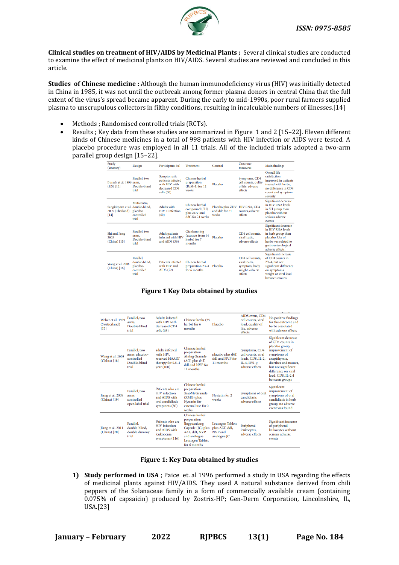

**Clinical studies on treatment of HIV/AIDS by Medicinal Plants ;** Several clinical studies are conducted to examine the effect of medicinal plants on HIV/AIDS. Several studies are reviewed and concluded in this article.

**Studies of Chinese medicine :** Although the human immunodeficiency virus (HIV) was initially detected in China in 1985, it was not until the outbreak among former plasma donors in central China that the full extent of the virus's spread became apparent. During the early to mid-1990s, poor rural farmers supplied plasma to unscrupulous collectors in filthy conditions, resulting in incalculable numbers of illnesses.[14]

- Methods; Randomised controlled trials (RCTs).
- Results ; Key data from these studies are summarized in Figure 1 and 2 [15–22]. Eleven different kinds of Chinese medicines in a total of 998 patients with HIV infection or AIDS were tested. A placebo procedure was employed in all 11 trials. All of the included trials adopted a two-arm parallel group design [15–22].

| Study<br>(country)                                          | Design                                                        | Participants $(n)$                                                              | Treatment                                                           | Control                                     | Outcome<br>measures                                                             | <b>Main findings</b>                                                                                                                                  |
|-------------------------------------------------------------|---------------------------------------------------------------|---------------------------------------------------------------------------------|---------------------------------------------------------------------|---------------------------------------------|---------------------------------------------------------------------------------|-------------------------------------------------------------------------------------------------------------------------------------------------------|
| Burack et al. 1996 arms.<br>$(US)$ [13]                     | Parallel, two<br>Double-blind<br>trial                        | Symptomatic<br>patients infected<br>with HIV with<br>decreased CD4<br>cells(30) | Chinese herbal<br>preparation<br>$(IGM-1)$ for 12<br>weeks          | Placebo                                     | Symptoms, CD4<br>cell counts, qulity<br>of life, adverse<br>effects             | Overall life<br>satisfaction<br>improved in patients<br>treated with herbs.<br>no difference in CD4<br>count and symptom<br>severity                  |
| Sangkitporn et al. double-blind,<br>2005 (Thailand)<br>[14] | Muticentre,<br>placebo-<br>controlled<br>trial                | Adults with<br>HIV-1 infection<br>(60)                                          | Chinese herbal<br>compound (SH)<br>plus ZDV and<br>ddC for 24 weeks | Placebo plus ZDV<br>and dde for 24<br>weeks | HIV RNA, CD4<br>counts, adverse<br>effects                                      | Significant decrease<br>in HIV RNA levels<br>in SH group than<br>placebo without<br>serious adverse<br>events                                         |
| Shi and Peng<br>2003<br>(China) [15]                        | Parallel, two<br>arms.<br>Double-blind<br>trial               | <b>Adult</b> patients<br>infected with HIV<br>and AIDS $(36)$                   | <b>Oiankunning</b><br>extracts from 14<br>herbs) for 7<br>months    | Placebo                                     | CD4 cell counts.<br>viral loads.<br>adverse effects                             | Significant decrease<br>in HIV RNA levels<br>in herb group than<br>placebo. Use of<br>herbs was related to<br>gastroenterological<br>adverse effects. |
| Wang et al. 2006<br>(China) [16]                            | Parallel.<br>double-blind.<br>placebo-<br>controlled<br>trial | Patients infected<br>with HIV and<br>AIDS $(72)$                                | Chinese herbal<br>preparation ZY-4<br>for 6 months                  | Placebo                                     | CD4 cell counts.<br>viral loads.<br>symptom, body<br>weight, adverse<br>effects | Significant increase<br>of CD4 counts in<br>ZY-4, but not<br>significant difference<br>on symptoms,<br>weight or viral load<br>between groups         |

#### **Figure 1 Key Data obtained by studies**

| Weber et al. 1999<br>(Switzerland)<br>$[17]$ | Parallel, two<br>arms.<br>Double-blind<br>trial                        | <b>Adults</b> infected<br>with HIV with<br>decreased CD4<br>cells(68)                            | Chinese herbs (35<br>herbs) for 6<br>months                                                                                                    | Placebo                                                             | AIDS event, CD4<br>cell counts, viral<br>load, quality of<br>life, adverse<br>effects             | No positive findings<br>for the outcome and<br>herbs associated<br>with adverse effects                                                                                                                                  |
|----------------------------------------------|------------------------------------------------------------------------|--------------------------------------------------------------------------------------------------|------------------------------------------------------------------------------------------------------------------------------------------------|---------------------------------------------------------------------|---------------------------------------------------------------------------------------------------|--------------------------------------------------------------------------------------------------------------------------------------------------------------------------------------------------------------------------|
| Wang et al. 2008<br>(China) [18]             | Parallel, two<br>arms, placebo-<br>controlled<br>Double-blind<br>trial | adults infected<br>with HIV.<br>received HAART<br>therapy for 0.5-1<br>year(100)                 | Chinese herbal<br>preparation<br><b>Aining Granule</b><br>(AG) plus d4T,<br>ddI and NVP for<br>11 months                                       | placebo plus d4T,<br>ddI and NVP for<br>11 months                   | Symptoms, CD4<br>cell counts, viral<br>loads, CD8, IL-2,<br>IL-4, IFN- $\nu$ ,<br>adverse effects | Significant decrease<br>of CD4 counts in<br>placebo group,<br>improvement of<br>symptoms of<br>anepithymia,<br>diarrhea and nausea.<br>but not significant<br>difference on viral<br>load, CD8, IL-2,4<br>between groups |
| Jiang et al. 2009<br>(China) [19]            | Parallel, two<br>arms,<br>controlled<br>open label trial               | Patients who are<br><b>HIV</b> infection<br>and AIDS with<br>oral candidiasis<br>symptoms $(80)$ | Chinese herhal<br>preparation<br>XiaoMi Granule<br>$(XMG)$ plus<br><b>Nvstatin</b> for<br>external use for 2<br>weeks                          | Nystatin for 2<br>weeks                                             | Symptoms of oral<br>candidiasis.<br>adverse effects                                               | Significant<br>improvement of<br>symptoms of oral<br>candidiasis in herb<br>group, no adverse<br>event was found                                                                                                         |
| Jiang et al. 2011<br>(China) [20]            | Parallel.<br>double-blind.<br>double dummy<br>trial                    | Patients who are<br><b>HIV</b> infection<br>and AIDS with<br>leukopenia<br>symptoms (116)        | Chinese herbal<br>preparation<br>Jingyuankang<br>Capsule (JC) plus<br>AZT, ddI, NVP<br>and analogue<br><b>Leucogen Tablets</b><br>for 6 months | <b>Leucogen Tablets</b><br>plus AZT, ddI,<br>NVP and<br>analogue JC | Peripheral<br>leukocytes,<br>adverse effects                                                      | Significant increase<br>of peripheral<br>leukocytes without<br>serious adverse<br>events                                                                                                                                 |

#### **Figure 1: Key Data obtained by studies**

**1) Study performed in USA** ; Paice et. al 1996 performed a study in USA regarding the effects of medicinal plants against HIV/AIDS. They used A natural substance derived from chili peppers of the Solanaceae family in a form of commercially available cream (containing 0.075% of capsaicin) produced by Zostrix-HP; Gen-Derm Corporation, Lincolnshire, IL, USA.[23]

**January – February 2022 RJPBCS 13(1) Page No. 184**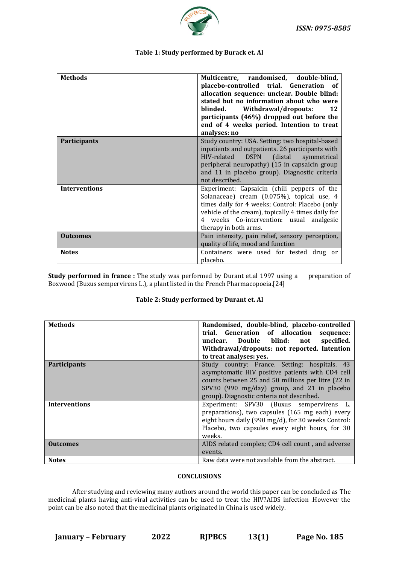

#### **Table 1: Study performed by Burack et. Al**

| <b>Methods</b>       | Multicentre, randomised, double-blind,<br>placebo-controlled trial. Generation of<br>allocation sequence: unclear. Double blind:<br>stated but no information about who were<br>Withdrawal/dropouts:<br>blinded.<br>12<br>participants (46%) dropped out before the     |
|----------------------|-------------------------------------------------------------------------------------------------------------------------------------------------------------------------------------------------------------------------------------------------------------------------|
|                      | end of 4 weeks period. Intention to treat<br>analyses: no                                                                                                                                                                                                               |
| <b>Participants</b>  | Study country: USA. Setting: two hospital-based<br>inpatients and outpatients. 26 participants with<br>HIV-related DSPN<br>(distal symmetrical<br>peripheral neuropathy) (15 in capsaicin group<br>and 11 in placebo group). Diagnostic criteria<br>not described.      |
| <b>Interventions</b> | Experiment: Capsaicin (chili peppers of the<br>Solanaceae) cream (0.075%), topical use, 4<br>times daily for 4 weeks; Control: Placebo (only<br>vehicle of the cream), topically 4 times daily for<br>4 weeks Co-intervention: usual analgesic<br>therapy in both arms. |
| <b>Outcomes</b>      | Pain intensity, pain relief, sensory perception,<br>quality of life, mood and function                                                                                                                                                                                  |
| <b>Notes</b>         | Containers were used for tested drug or<br>placebo.                                                                                                                                                                                                                     |

**Study performed in france :** The study was performed by Durant et.al 1997 using a preparation of Boxwood (Buxus sempervirens L.), a plant listed in the French Pharmacopoeia.[24]

#### **Table 2: Study performed by Durant et. Al**

| <b>Methods</b>       | Randomised, double-blind, placebo-controlled<br>trial. Generation of allocation sequence:<br>unclear. Double blind: not<br>specified.<br>Withdrawal/dropouts: not reported. Intention<br>to treat analyses: yes.                                     |
|----------------------|------------------------------------------------------------------------------------------------------------------------------------------------------------------------------------------------------------------------------------------------------|
| Participants         | Study country: France. Setting: hospitals. 43<br>asymptomatic HIV positive patients with CD4 cell<br>counts between 25 and 50 millions per litre (22 in<br>SPV30 (990 mg/day) group, and 21 in placebo<br>group). Diagnostic criteria not described. |
| <b>Interventions</b> | Experiment: SPV30 (Buxus sempervirens L.<br>preparations), two capsules (165 mg each) every<br>eight hours daily (990 mg/d), for 30 weeks Control:<br>Placebo, two capsules every eight hours, for 30<br>weeks.                                      |
| <b>Outcomes</b>      | AIDS related complex; CD4 cell count, and adverse<br>events.                                                                                                                                                                                         |
| <b>Notes</b>         | Raw data were not available from the abstract.                                                                                                                                                                                                       |

#### **CONCLUSIONS**

After studying and reviewing many authors around the world this paper can be concluded as The medicinal plants having anti-viral activities can be used to treat the HIV?AIDS infection .However the point can be also noted that the medicinal plants originated in China is used widely.

**January – February 2022 RJPBCS 13(1) Page No. 185**